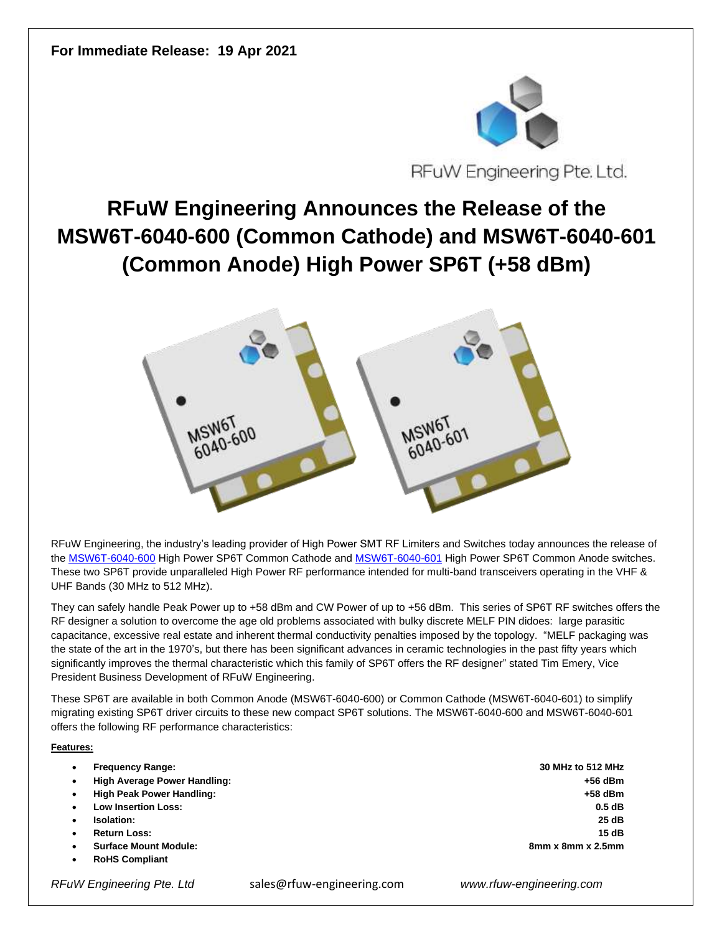

RFuW Engineering Pte. Ltd.

## **RFuW Engineering Announces the Release of the MSW6T-6040-600 (Common Cathode) and MSW6T-6040-601 (Common Anode) High Power SP6T (+58 dBm)**



RFuW Engineering, the industry's leading provider of High Power SMT RF Limiters and Switches today announces the release of the [MSW6T-6040-600](https://www.rfuw-engineering.com/PDF/MSW6T-6040-600%20DS%20RFuW%20Rev%201.2.pdf) High Power SP6T Common Cathode and [MSW6T-6040-601](https://www.rfuw-engineering.com/PDF/MSW6T-6040-601%20DS%20RFuW%20Rev%20B.pdf) High Power SP6T Common Anode switches. These two SP6T provide unparalleled High Power RF performance intended for multi-band transceivers operating in the VHF & UHF Bands (30 MHz to 512 MHz).

They can safely handle Peak Power up to +58 dBm and CW Power of up to +56 dBm. This series of SP6T RF switches offers the RF designer a solution to overcome the age old problems associated with bulky discrete MELF PIN didoes: large parasitic capacitance, excessive real estate and inherent thermal conductivity penalties imposed by the topology. "MELF packaging was the state of the art in the 1970's, but there has been significant advances in ceramic technologies in the past fifty years which significantly improves the thermal characteristic which this family of SP6T offers the RF designer" stated Tim Emery, Vice President Business Development of RFuW Engineering.

These SP6T are available in both Common Anode (MSW6T-6040-600) or Common Cathode (MSW6T-6040-601) to simplify migrating existing SP6T driver circuits to these new compact SP6T solutions. The MSW6T-6040-600 and MSW6T-6040-601 offers the following RF performance characteristics:

## **Features:**

|   | <b>Frequency Range:</b>      | 30 MHz to 512 MHz             |
|---|------------------------------|-------------------------------|
| ٠ | High Average Power Handling: | $+56$ dBm                     |
|   | High Peak Power Handling:    | $+58$ dBm                     |
|   | <b>Low Insertion Loss:</b>   | 0.5dB                         |
|   | Isolation:                   | 25 dB                         |
|   | <b>Return Loss:</b>          | 15dB                          |
|   | <b>Surface Mount Module:</b> | $8mm \times 8mm \times 2.5mm$ |
|   | <b>RoHS Compliant</b>        |                               |

*RFuW Engineering Pte. Ltd* sales@rfuw-engineering.com *www.rfuw-engineering.com*